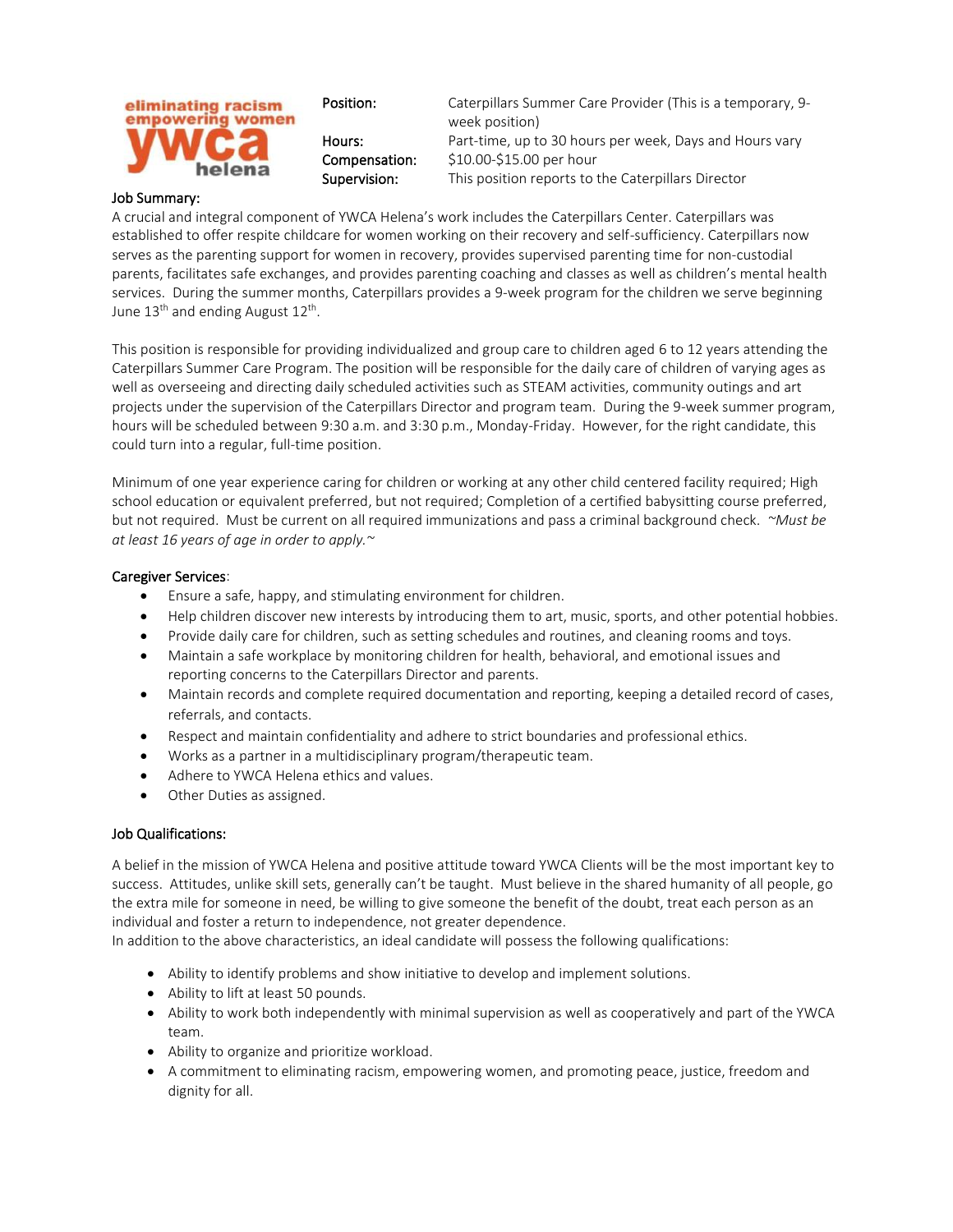

## Job Summary:

A crucial and integral component of YWCA Helena's work includes the Caterpillars Center. Caterpillars was established to offer respite childcare for women working on their recovery and self-sufficiency. Caterpillars now serves as the parenting support for women in recovery, provides supervised parenting time for non-custodial parents, facilitates safe exchanges, and provides parenting coaching and classes as well as children's mental health services. During the summer months, Caterpillars provides a 9-week program for the children we serve beginning June 13<sup>th</sup> and ending August 12<sup>th</sup>.

This position is responsible for providing individualized and group care to children aged 6 to 12 years attending the Caterpillars Summer Care Program. The position will be responsible for the daily care of children of varying ages as well as overseeing and directing daily scheduled activities such as STEAM activities, community outings and art projects under the supervision of the Caterpillars Director and program team. During the 9-week summer program, hours will be scheduled between 9:30 a.m. and 3:30 p.m., Monday-Friday. However, for the right candidate, this could turn into a regular, full-time position.

Minimum of one year experience caring for children or working at any other child centered facility required; High school education or equivalent preferred, but not required; Completion of a certified babysitting course preferred, but not required. Must be current on all required immunizations and pass a criminal background check. *~Must be at least 16 years of age in order to apply.~*

## Caregiver Services:

- Ensure a safe, happy, and stimulating environment for children.
- Help children discover new interests by introducing them to art, music, sports, and other potential hobbies.
- Provide daily care for children, such as setting schedules and routines, and cleaning rooms and toys.
- Maintain a safe workplace by monitoring children for health, behavioral, and emotional issues and reporting concerns to the Caterpillars Director and parents.
- Maintain records and complete required documentation and reporting, keeping a detailed record of cases, referrals, and contacts.
- Respect and maintain confidentiality and adhere to strict boundaries and professional ethics.
- Works as a partner in a multidisciplinary program/therapeutic team.
- Adhere to YWCA Helena ethics and values.
- Other Duties as assigned.

## Job Qualifications:

A belief in the mission of YWCA Helena and positive attitude toward YWCA Clients will be the most important key to success. Attitudes, unlike skill sets, generally can't be taught. Must believe in the shared humanity of all people, go the extra mile for someone in need, be willing to give someone the benefit of the doubt, treat each person as an individual and foster a return to independence, not greater dependence.

In addition to the above characteristics, an ideal candidate will possess the following qualifications:

- Ability to identify problems and show initiative to develop and implement solutions.
- Ability to lift at least 50 pounds.
- Ability to work both independently with minimal supervision as well as cooperatively and part of the YWCA team.
- Ability to organize and prioritize workload.
- A commitment to eliminating racism, empowering women, and promoting peace, justice, freedom and dignity for all.